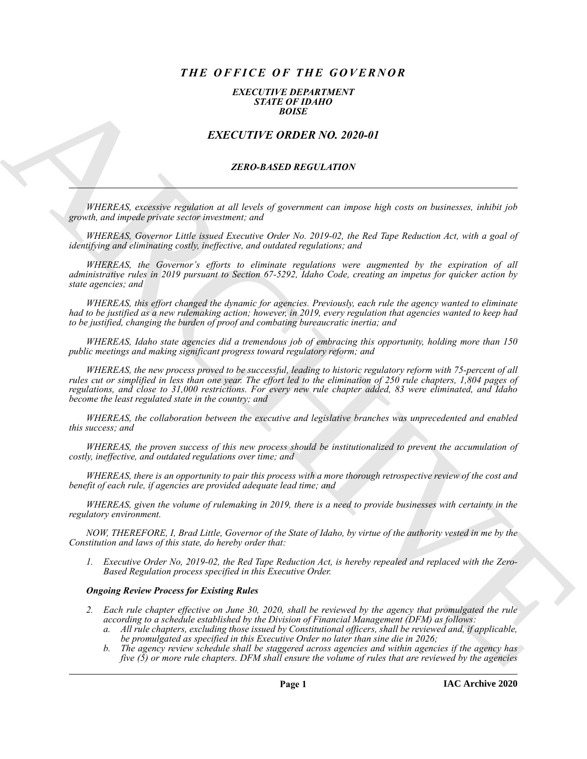# *THE OFFICE OF THE GOVERNOR*

#### *EXECUTIVE DEPARTMENT STATE OF IDAHO BOISE*

# *EXECUTIVE ORDER NO. 2020-01*

#### *ZERO-BASED REGULATION*

*WHEREAS, excessive regulation at all levels of government can impose high costs on businesses, inhibit job growth, and impede private sector investment; and*

*WHEREAS, Governor Little issued Executive Order No. 2019-02, the Red Tape Reduction Act, with a goal of identifying and eliminating costly, ineffective, and outdated regulations; and*

*WHEREAS, the Governor's efforts to eliminate regulations were augmented by the expiration of all administrative rules in 2019 pursuant to Section 67-5292, Idaho Code, creating an impetus for quicker action by state agencies; and*

*WHEREAS, this effort changed the dynamic for agencies. Previously, each rule the agency wanted to eliminate had to be justified as a new rulemaking action; however, in 2019, every regulation that agencies wanted to keep had to be justified, changing the burden of proof and combating bureaucratic inertia; and*

*WHEREAS, Idaho state agencies did a tremendous job of embracing this opportunity, holding more than 150 public meetings and making significant progress toward regulatory reform; and*

**EXACT CHE CONSERVATION**<br> **EXACT CHE CONSERVATION**<br> **EXACT CHE CONSERVATION**<br> **EXACT CHE CONSERVATION**<br> **EXACT CHE CONSERVATION**<br> **EXACT CHE CONSERVATION**<br> **EXACT CHE CONSERVATION**<br> **EXACT CHE CONSERVATION**<br> **EXACT CHE CO** *WHEREAS, the new process proved to be successful, leading to historic regulatory reform with 75-percent of all rules cut or simplified in less than one year. The effort led to the elimination of 250 rule chapters, 1,804 pages of regulations, and close to 31,000 restrictions. For every new rule chapter added, 83 were eliminated, and Idaho become the least regulated state in the country; and*

*WHEREAS, the collaboration between the executive and legislative branches was unprecedented and enabled this success; and*

*WHEREAS, the proven success of this new process should be institutionalized to prevent the accumulation of costly, ineffective, and outdated regulations over time; and*

*WHEREAS, there is an opportunity to pair this process with a more thorough retrospective review of the cost and benefit of each rule, if agencies are provided adequate lead time; and*

*WHEREAS, given the volume of rulemaking in 2019, there is a need to provide businesses with certainty in the regulatory environment.*

*NOW, THEREFORE, I, Brad Little, Governor of the State of Idaho, by virtue of the authority vested in me by the Constitution and laws of this state, do hereby order that:*

*1. Executive Order No, 2019-02, the Red Tape Reduction Act, is hereby repealed and replaced with the Zero-Based Regulation process specified in this Executive Order.*

## *Ongoing Review Process for Existing Rules*

- *2. Each rule chapter effective on June 30, 2020, shall be reviewed by the agency that promulgated the rule according to a schedule established by the Division of Financial Management (DFM) as follows:*
	- *a. All rule chapters, excluding those issued by Constitutional officers, shall be reviewed and, if applicable, be promulgated as specified in this Executive Order no later than sine die in 2026;*
	- *b. The agency review schedule shall be staggered across agencies and within agencies if the agency has five (5) or more rule chapters. DFM shall ensure the volume of rules that are reviewed by the agencies*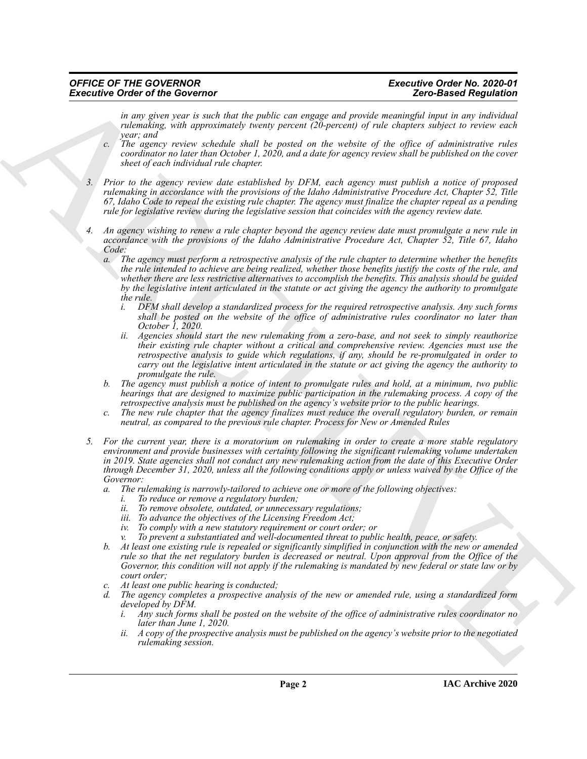### *OFFICE OF THE GOVERNOR Executive Order No. 2020-01 Executive Order of the Governor*

*in any given year is such that the public can engage and provide meaningful input in any individual rulemaking, with approximately twenty percent (20-percent) of rule chapters subject to review each year; and*

- *c. The agency review schedule shall be posted on the website of the office of administrative rules coordinator no later than October 1, 2020, and a date for agency review shall be published on the cover sheet of each individual rule chapter.*
- *3. Prior to the agency review date established by DFM, each agency must publish a notice of proposed rulemaking in accordance with the provisions of the Idaho Administrative Procedure Act, Chapter 52, Title 67, Idaho Code to repeal the existing rule chapter. The agency must finalize the chapter repeal as a pending rule for legislative review during the legislative session that coincides with the agency review date.*
- *4. An agency wishing to renew a rule chapter beyond the agency review date must promulgate a new rule in accordance with the provisions of the Idaho Administrative Procedure Act, Chapter 52, Title 67, Idaho Code:*
	- *a. The agency must perform a retrospective analysis of the rule chapter to determine whether the benefits the rule intended to achieve are being realized, whether those benefits justify the costs of the rule, and whether there are less restrictive alternatives to accomplish the benefits. This analysis should be guided by the legislative intent articulated in the statute or act giving the agency the authority to promulgate the rule.*
		- *i. DFM shall develop a standardized process for the required retrospective analysis. Any such forms shall be posted on the website of the office of administrative rules coordinator no later than October 1, 2020.*
		- *ii. Agencies should start the new rulemaking from a zero-base, and not seek to simply reauthorize their existing rule chapter without a critical and comprehensive review. Agencies must use the retrospective analysis to guide which regulations, if any, should be re-promulgated in order to carry out the legislative intent articulated in the statute or act giving the agency the authority to promulgate the rule.*
	- *b. The agency must publish a notice of intent to promulgate rules and hold, at a minimum, two public hearings that are designed to maximize public participation in the rulemaking process. A copy of the retrospective analysis must be published on the agency's website prior to the public hearings.*
	- *c. The new rule chapter that the agency finalizes must reduce the overall regulatory burden, or remain neutral, as compared to the previous rule chapter. Process for New or Amended Rules*
- Executive Order of the Governor term into the periodic set are equal to the signal particle into the signal interest in the signal or  $\alpha$  is the signal or  $\alpha$  is the signal or  $\alpha$  is the signal or  $\alpha$  is the signal or *5. For the current year, there is a moratorium on rulemaking in order to create a more stable regulatory environment and provide businesses with certainty following the significant rulemaking volume undertaken in 2019. State agencies shall not conduct any new rulemaking action from the date of this Executive Order through December 31, 2020, unless all the following conditions apply or unless waived by the Office of the Governor:*
	- *a. The rulemaking is narrowly-tailored to achieve one or more of the following objectives:*
		- *i. To reduce or remove a regulatory burden;*
		- *ii. To remove obsolete, outdated, or unnecessary regulations;*
		- *iii. To advance the objectives of the Licensing Freedom Act;*
		- *iv. To comply with a new statutory requirement or court order; or*
		- *v. To prevent a substantiated and well-documented threat to public health, peace, or safety.*
	- *b. At least one existing rule is repealed or significantly simplified in conjunction with the new or amended rule so that the net regulatory burden is decreased or neutral. Upon approval from the Office of the Governor, this condition will not apply if the rulemaking is mandated by new federal or state law or by court order;*
	- *c. At least one public hearing is conducted;*
	- *d. The agency completes a prospective analysis of the new or amended rule, using a standardized form developed by DFM.*
		- *i. Any such forms shall be posted on the website of the office of administrative rules coordinator no later than June 1, 2020.*
		- *ii. A copy of the prospective analysis must be published on the agency's website prior to the negotiated rulemaking session.*